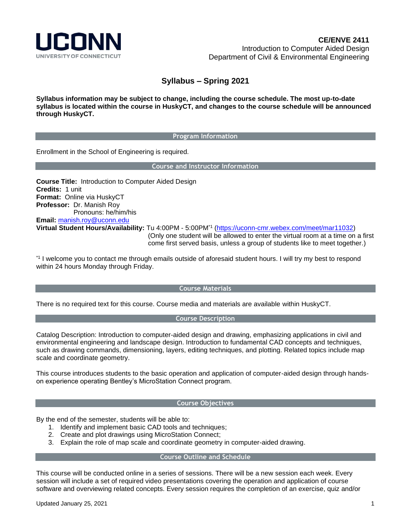

# **Syllabus – Spring 2021**

**Syllabus information may be subject to change, including the course schedule. The most up-to-date syllabus is located within the course in HuskyCT, and changes to the course schedule will be announced through HuskyCT.**

#### **Program Information**

Enrollment in the School of Engineering is required.

**Course and Instructor Information**

**Course Title:** Introduction to Computer Aided Design **Credits:** 1 unit **Format:** Online via HuskyCT **Professor:** Dr. Manish Roy Pronouns: he/him/his **Email:** [manish.roy@uconn.edu](mailto:manish.roy@uconn.edu) **Virtual Student Hours/Availability:** Tu 4:00PM - 5:00PM\*1 [\(https://uconn-cmr.webex.com/meet/mar11032\)](https://uconn-cmr.webex.com/meet/mar11032) (Only one student will be allowed to enter the virtual room at a time on a first come first served basis, unless a group of students like to meet together.)

\*1 I welcome you to contact me through emails outside of aforesaid student hours. I will try my best to respond within 24 hours Monday through Friday.

## **Course Materials**

There is no required text for this course. Course media and materials are available within HuskyCT.

## **Course Description**

Catalog Description: Introduction to computer-aided design and drawing, emphasizing applications in civil and environmental engineering and landscape design. Introduction to fundamental CAD concepts and techniques, such as drawing commands, dimensioning, layers, editing techniques, and plotting. Related topics include map scale and coordinate geometry.

This course introduces students to the basic operation and application of computer-aided design through handson experience operating Bentley's MicroStation Connect program.

## **Course Objectives**

By the end of the semester, students will be able to:

- 1. Identify and implement basic CAD tools and techniques;
- 2. Create and plot drawings using MicroStation Connect;
- 3. Explain the role of map scale and coordinate geometry in computer-aided drawing.

#### **Course Outline and Schedule**

This course will be conducted online in a series of sessions. There will be a new session each week. Every session will include a set of required video presentations covering the operation and application of course software and overviewing related concepts. Every session requires the completion of an exercise, quiz and/or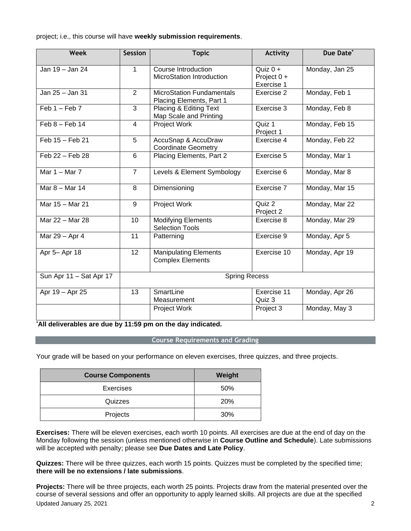project; i.e., this course will have **weekly submission requirements**.

| <b>Week</b>             | <b>Session</b>       | <b>Topic</b>                                                 | <b>Activity</b>                         | Due Date*      |
|-------------------------|----------------------|--------------------------------------------------------------|-----------------------------------------|----------------|
| Jan 19 - Jan 24         | $\mathbf{1}$         | Course Introduction<br><b>MicroStation Introduction</b>      | Quiz $0 +$<br>Project 0 +<br>Exercise 1 | Monday, Jan 25 |
| Jan 25 - Jan 31         | 2                    | <b>MicroStation Fundamentals</b><br>Placing Elements, Part 1 | Exercise 2                              | Monday, Feb 1  |
| $Feb 1 - Feb 7$         | 3                    | Placing & Editing Text<br>Map Scale and Printing             | Exercise 3                              | Monday, Feb 8  |
| $Feb 8 - Feb 14$        | $\overline{4}$       | Project Work                                                 | Quiz 1<br>Project 1                     | Monday, Feb 15 |
| $Feb 15 - Feb 21$       | 5                    | AccuSnap & AccuDraw<br><b>Coordinate Geometry</b>            | Exercise 4                              | Monday, Feb 22 |
| Feb 22 - Feb 28         | $6\phantom{1}$       | Placing Elements, Part 2                                     | Exercise 5                              | Monday, Mar 1  |
| Mar $1 -$ Mar $7$       | $\overline{7}$       | Levels & Element Symbology                                   | Exercise 6                              | Monday, Mar 8  |
| Mar 8 - Mar 14          | 8                    | Dimensioning                                                 | Exercise 7                              | Monday, Mar 15 |
| Mar 15 - Mar 21         | 9                    | Project Work                                                 | Quiz 2<br>Project 2                     | Monday, Mar 22 |
| Mar 22 - Mar 28         | 10                   | <b>Modifying Elements</b><br><b>Selection Tools</b>          | Exercise 8                              | Monday, Mar 29 |
| Mar 29 - Apr 4          | 11                   | Patterning                                                   | Exercise 9                              | Monday, Apr 5  |
| Apr 5- Apr 18           | 12                   | <b>Manipulating Elements</b><br><b>Complex Elements</b>      | Exercise 10                             | Monday, Apr 19 |
| Sun Apr 11 - Sat Apr 17 | <b>Spring Recess</b> |                                                              |                                         |                |
| Apr 19 - Apr 25         | 13                   | SmartLine<br>Measurement                                     | Exercise 11<br>Quiz 3                   | Monday, Apr 26 |
|                         |                      | Project Work                                                 | Project 3                               | Monday, May 3  |

**\*All deliverables are due by 11:59 pm on the day indicated. D**

# **Course Requirements and Grading**

Your grade will be based on your performance on eleven exercises, three quizzes, and three projects.

| <b>Course Components</b> | Weight |
|--------------------------|--------|
| <b>Exercises</b>         | 50%    |
| Quizzes                  | 20%    |
| Projects                 | 30%    |

**Exercises:** There will be eleven exercises, each worth 10 points. All exercises are due at the end of day on the Monday following the session (unless mentioned otherwise in **Course Outline and Schedule**). Late submissions will be accepted with penalty; please see **Due Dates and Late Policy**.

**Quizzes:** There will be three quizzes, each worth 15 points. Quizzes must be completed by the specified time; **there will be no extensions / late submissions**.

Updated January 25, 2021 2 **Projects:** There will be three projects, each worth 25 points. Projects draw from the material presented over the course of several sessions and offer an opportunity to apply learned skills. All projects are due at the specified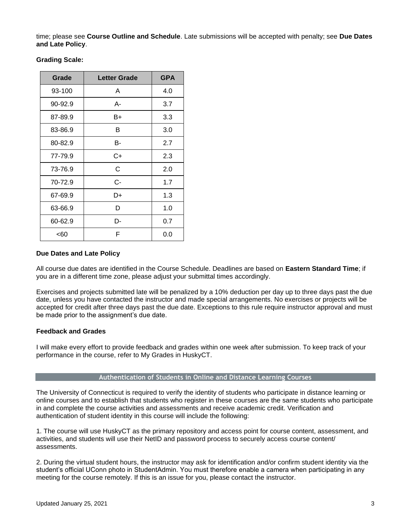time; please see **Course Outline and Schedule**. Late submissions will be accepted with penalty; see **Due Dates and Late Policy**.

| Grade   | <b>Letter Grade</b> | <b>GPA</b> |
|---------|---------------------|------------|
| 93-100  | A                   | 4.0        |
| 90-92.9 | А-                  | 3.7        |
| 87-89.9 | B+                  | 3.3        |
| 83-86.9 | В                   | 3.0        |
| 80-82.9 | В-                  | 2.7        |
| 77-79.9 | C+                  | 2.3        |
| 73-76.9 | C                   | 2.0        |
| 70-72.9 | C-                  | 1.7        |
| 67-69.9 | D+                  | 1.3        |
| 63-66.9 | D                   | 1.0        |
| 60-62.9 | D-                  | 0.7        |
| <60     | F                   | 0.0        |

**Grading Scale:**

# **Due Dates and Late Policy**

All course due dates are identified in the Course Schedule. Deadlines are based on **Eastern Standard Time**; if you are in a different time zone, please adjust your submittal times accordingly.

Exercises and projects submitted late will be penalized by a 10% deduction per day up to three days past the due date, unless you have contacted the instructor and made special arrangements. No exercises or projects will be accepted for credit after three days past the due date. Exceptions to this rule require instructor approval and must be made prior to the assignment's due date.

## **Feedback and Grades**

I will make every effort to provide feedback and grades within one week after submission. To keep track of your performance in the course, refer to My Grades in HuskyCT.

#### **Authentication of Students in Online and Distance Learning Courses**

The University of Connecticut is required to verify the identity of students who participate in distance learning or online courses and to establish that students who register in these courses are the same students who participate in and complete the course activities and assessments and receive academic credit. Verification and authentication of student identity in this course will include the following:

1. The course will use HuskyCT as the primary repository and access point for course content, assessment, and activities, and students will use their NetID and password process to securely access course content/ assessments.

2. During the virtual student hours, the instructor may ask for identification and/or confirm student identity via the student's official UConn photo in StudentAdmin. You must therefore enable a camera when participating in any meeting for the course remotely. If this is an issue for you, please contact the instructor.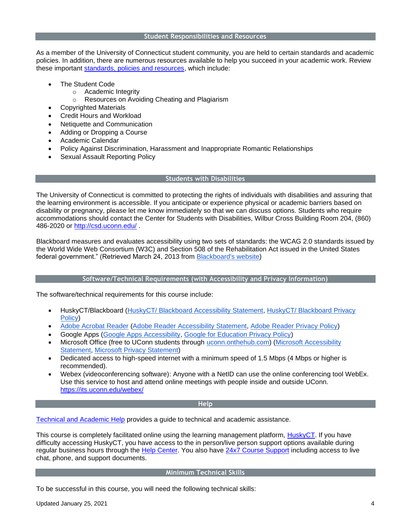As a member of the University of Connecticut student community, you are held to certain standards and academic policies. In addition, there are numerous resources available to help you succeed in your academic work. Review these important [standards, policies and resources,](http://ecampus.uconn.edu/policies.html) which include:

- The Student Code
	- o Academic Integrity
	- o Resources on Avoiding Cheating and Plagiarism
	- Copyrighted Materials
- Credit Hours and Workload
- Netiquette and Communication
- Adding or Dropping a Course
- Academic Calendar
- Policy Against Discrimination, Harassment and Inappropriate Romantic Relationships
- Sexual Assault Reporting Policy

#### **Students with Disabilities**

The University of Connecticut is committed to protecting the rights of individuals with disabilities and assuring that the learning environment is accessible. If you anticipate or experience physical or academic barriers based on disability or pregnancy, please let me know immediately so that we can discuss options. Students who require accommodations should contact the Center for Students with Disabilities, Wilbur Cross Building Room 204, (860) 486-2020 or <http://csd.uconn.edu/> .

Blackboard measures and evaluates accessibility using two sets of standards: the WCAG 2.0 standards issued by the World Wide Web Consortium (W3C) and Section 508 of the Rehabilitation Act issued in the United States federal government." (Retrieved March 24, 2013 from [Blackboard's website\)](http://www.blackboard.com/platforms/learn/resources/accessibility.aspx)

## **Software/Technical Requirements (with Accessibility and Privacy Information)**

The software/technical requirements for this course include:

- HuskyCT/Blackboard [\(HuskyCT/ Blackboard Accessibility Statement,](http://www.blackboard.com/Platforms/Learn/Resources/Accessibility.aspx) [HuskyCT/ Blackboard Privacy](http://www.blackboard.com/footer/privacy-policy.aspx)  [Policy\)](http://www.blackboard.com/footer/privacy-policy.aspx)
- [Adobe Acrobat Reader](http://www.adobe.com/products/acrobat/readstep2.html) [\(Adobe Reader Accessibility Statement,](http://www.adobe.com/accessibility/products/reader.html) [Adobe Reader Privacy Policy\)](http://www.adobe.com/privacy.html)
- Google Apps [\(Google Apps Accessibility,](https://www.google.com/accessibility/) [Google for Education Privacy Policy\)](https://www.google.com/edu/trust/)
- Microsoft Office (free to UConn students through [uconn.onthehub.com\)](https://uconn.onthehub.com/) [\(Microsoft Accessibility](http://www.microsoft.com/enable/microsoft/mission.aspx)  [Statement,](http://www.microsoft.com/enable/microsoft/mission.aspx) [Microsoft Privacy Statement\)](https://privacy.microsoft.com/en-us/privacystatement/)
- Dedicated access to high-speed internet with a minimum speed of 1.5 Mbps (4 Mbps or higher is recommended).
- Webex (videoconferencing software): Anyone with a NetID can use the online conferencing tool WebEx. Use this service to host and attend online meetings with people inside and outside UConn. <https://its.uconn.edu/webex/>

#### **Help**

[Technical and Academic Help](https://onlinestudent.uconn.edu/frequently-asked-questions/) provides a guide to technical and academic assistance.

This course is completely facilitated online using the learning management platform, [HuskyCT.](https://huskyct.uconn.edu/) If you have difficulty accessing HuskyCT, you have access to the in person/live person support options available during regular business hours through the [Help Center.](https://techsupport.uconn.edu/) You also have [24x7 Course Support](https://uconn.edusupportcenter.com/sims/helpcenter/common/layout/SelfHelpHome.seam?inst_name=U_Conn) including access to live chat, phone, and support documents.

#### **Minimum Technical Skills**

To be successful in this course, you will need the following technical skills: